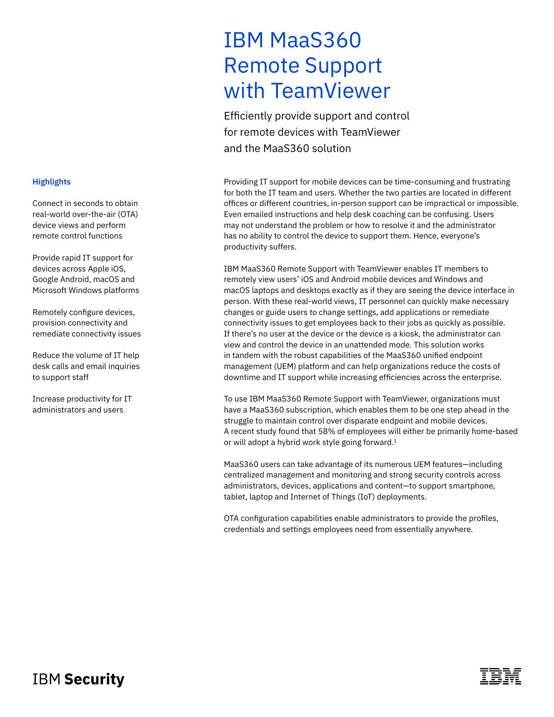# IBM MaaS360 Remote Support with TeamViewer

Efficiently provide support and control for remote devices with TeamViewer and the MaaS360 solution

Providing IT support for mobile devices can be time-consuming and frustrating for both the IT team and users. Whether the two parties are located in different offices or different countries, in-person support can be impractical or impossible. Even emailed instructions and help desk coaching can be confusing. Users may not understand the problem or how to resolve it and the administrator has no ability to control the device to support them. Hence, everyone's productivity suffers.

IBM MaaS360 Remote Support with TeamViewer enables IT members to remotely view users' iOS and Android mobile devices and Windows and macOS laptops and desktops exactly as if they are seeing the device interface in person. With these real-world views, IT personnel can quickly make necessary changes or guide users to change settings, add applications or remediate connectivity issues to get employees back to their jobs as quickly as possible. If there's no user at the device or the device is a kiosk, the administrator can view and control the device in an unattended mode. This solution works in tandem with the robust capabilities of the MaaS360 unified endpoint management (UEM) platform and can help organizations reduce the costs of downtime and IT support while increasing efficiencies across the enterprise.

To use IBM MaaS360 Remote Support with TeamViewer, organizations must have a MaaS360 subscription, which enables them to be one step ahead in the struggle to maintain control over disparate endpoint and mobile devices. A recent study found that 58% of employees will either be primarily home-based or will adopt a hybrid work style going forward.<sup>1</sup>

MaaS360 users can take advantage of its numerous UEM features—including centralized management and monitoring and strong security controls across administrators, devices, applications and content—to support smartphone, tablet, laptop and Internet of Things (IoT) deployments.

OTA configuration capabilities enable administrators to provide the profiles, credentials and settings employees need from essentially anywhere.

### **Highlights**

Connect in seconds to obtain real-world over-the-air (OTA) device views and perform remote control functions

Provide rapid IT support for devices across Apple iOS, Google Android, macOS and Microsoft Windows platforms

Remotely configure devices, provision connectivity and remediate connectivity issues

Reduce the volume of IT help desk calls and email inquiries to support staff

Increase productivity for IT administrators and users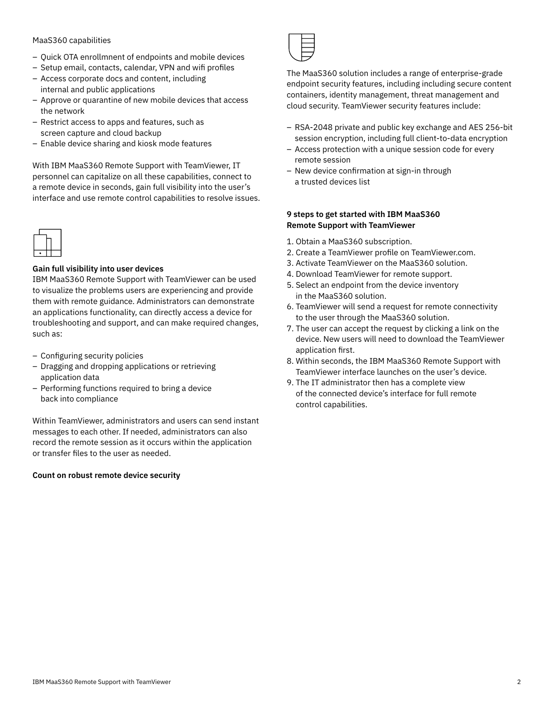#### MaaS360 capabilities

- Quick OTA enrollmnent of endpoints and mobile devices
- Setup email, contacts, calendar, VPN and wifi profiles
- Access corporate docs and content, including internal and public applications
- Approve or quarantine of new mobile devices that access the network
- Restrict access to apps and features, such as screen capture and cloud backup
- Enable device sharing and kiosk mode features

With IBM MaaS360 Remote Support with TeamViewer, IT personnel can capitalize on all these capabilities, connect to a remote device in seconds, gain full visibility into the user's interface and use remote control capabilities to resolve issues.



#### **Gain full visibility into user devices**

IBM MaaS360 Remote Support with TeamViewer can be used to visualize the problems users are experiencing and provide them with remote guidance. Administrators can demonstrate an applications functionality, can directly access a device for troubleshooting and support, and can make required changes, such as:

- Configuring security policies
- Dragging and dropping applications or retrieving application data
- Performing functions required to bring a device back into compliance

Within TeamViewer, administrators and users can send instant messages to each other. If needed, administrators can also record the remote session as it occurs within the application or transfer files to the user as needed.

#### **Count on robust remote device security**



The MaaS360 solution includes a range of enterprise-grade endpoint security features, including including secure content containers, identity management, threat management and cloud security. TeamViewer security features include:

- RSA-2048 private and public key exchange and AES 256-bit session encryption, including full client-to-data encryption
- Access protection with a unique session code for every remote session
- New device confirmation at sign-in through a trusted devices list

#### **9 steps to get started with IBM MaaS360 Remote Support with TeamViewer**

- 1. Obtain a MaaS360 subscription.
- 2. Create a TeamViewer profile on TeamViewer.com.
- 3. Activate TeamViewer on the MaaS360 solution.
- 4. Download TeamViewer for remote support.
- 5. Select an endpoint from the device inventory in the MaaS360 solution.
- 6. TeamViewer will send a request for remote connectivity to the user through the MaaS360 solution.
- 7. The user can accept the request by clicking a link on the device. New users will need to download the TeamViewer application first.
- 8. Within seconds, the IBM MaaS360 Remote Support with TeamViewer interface launches on the user's device.
- 9. The IT administrator then has a complete view of the connected device's interface for full remote control capabilities.